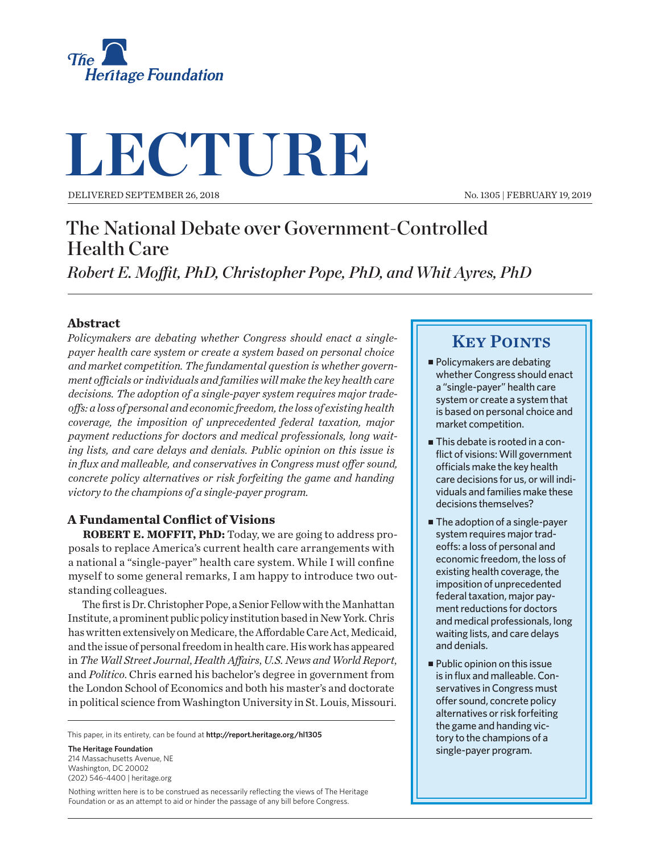

# **LECTURE**

Delivered September 26, 2018

No. 1305 | February 19, 2019

# The National Debate over Government-Controlled Health Care

*Robert E. Moffit, PhD, Christopher Pope, PhD, and Whit Ayres, PhD*

## **Abstract**

*Policymakers are debating whether Congress should enact a singlepayer health care system or create a system based on personal choice and market competition. The fundamental question is whether government officials or individuals and families will make the key health care decisions. The adoption of a single-payer system requires major tradeoffs: a loss of personal and economic freedom, the loss of existing health coverage, the imposition of unprecedented federal taxation, major payment reductions for doctors and medical professionals, long waiting lists, and care delays and denials. Public opinion on this issue is in flux and malleable, and conservatives in Congress must offer sound, concrete policy alternatives or risk forfeiting the game and handing victory to the champions of a single-payer program.*

# **A Fundamental Conflict of Visions**

**ROBERT E. MOFFIT, PhD:** Today, we are going to address proposals to replace America's current health care arrangements with a national a "single-payer" health care system. While I will confine myself to some general remarks, I am happy to introduce two outstanding colleagues.

The first is Dr. Christopher Pope, a Senior Fellow with the Manhattan Institute, a prominent public policy institution based in New York. Chris has written extensively on Medicare, the Affordable Care Act, Medicaid, and the issue of personal freedom in health care. His work has appeared in *The Wall Street Journal*, *Health Affairs*, *U.S. News and World Report*, and *Politico*. Chris earned his bachelor's degree in government from the London School of Economics and both his master's and doctorate in political science from Washington University in St. Louis, Missouri.

This paper, in its entirety, can be found at **http://report.heritage.org/hl1305**

**The Heritage Foundation** 214 Massachusetts Avenue, NF Washington, DC 20002 (202) 546-4400 | heritage.org

Nothing written here is to be construed as necessarily reflecting the views of The Heritage Foundation or as an attempt to aid or hinder the passage of any bill before Congress.

# **KEY POINTS**

- Policymakers are debating whether Congress should enact a "single-payer" health care system or create a system that is based on personal choice and market competition.
- **This debate is rooted in a con**flict of visions: Will government officials make the key health care decisions for us, or will individuals and families make these decisions themselves?
- **The adoption of a single-payer** system requires major tradeoffs: a loss of personal and economic freedom, the loss of existing health coverage, the imposition of unprecedented federal taxation, major payment reductions for doctors and medical professionals, long waiting lists, and care delays and denials.
- $\blacksquare$  Public opinion on this issue is in flux and malleable. Conservatives in Congress must offer sound, concrete policy alternatives or risk forfeiting the game and handing victory to the champions of a single-payer program.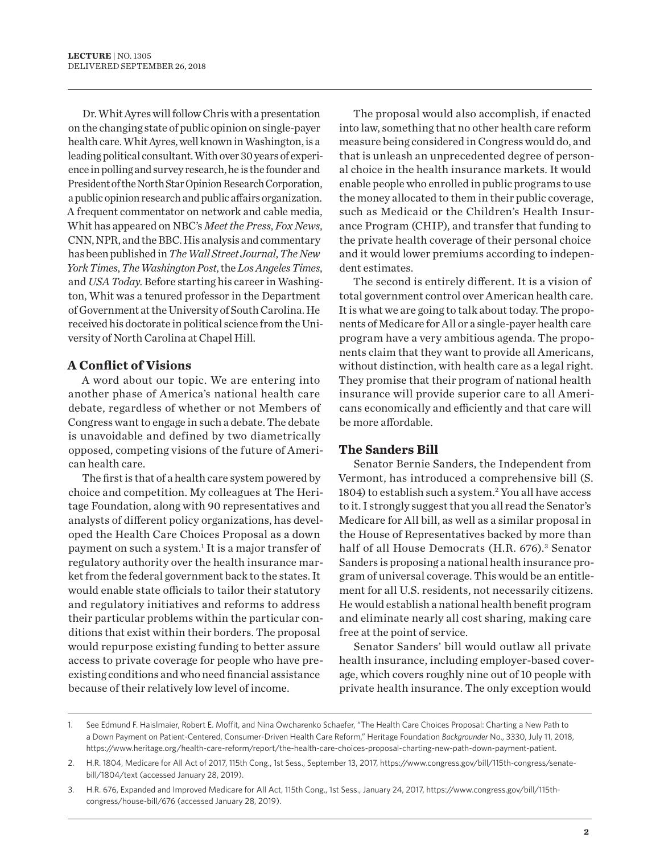Dr. Whit Ayres will follow Chris with a presentation on the changing state of public opinion on single-payer health care. Whit Ayres, well known in Washington, is a leading political consultant. With over 30 years of experience in polling and survey research, he is the founder and President of the North Star Opinion Research Corporation, a public opinion research and public affairs organization. A frequent commentator on network and cable media, Whit has appeared on NBC's *Meet the Press*, *Fox News*, CNN, NPR, and the BBC. His analysis and commentary has been published in *The Wall Street Journal*, *The New York Times*, *The Washington Post*, the *Los Angeles Times*, and *USA Today*. Before starting his career in Washington, Whit was a tenured professor in the Department of Government at the University of South Carolina. He received his doctorate in political science from the University of North Carolina at Chapel Hill.

## **A Conflict of Visions**

A word about our topic. We are entering into another phase of America's national health care debate, regardless of whether or not Members of Congress want to engage in such a debate. The debate is unavoidable and defined by two diametrically opposed, competing visions of the future of American health care.

The first is that of a health care system powered by choice and competition. My colleagues at The Heritage Foundation, along with 90 representatives and analysts of different policy organizations, has developed the Health Care Choices Proposal as a down payment on such a system.<sup>1</sup> It is a major transfer of regulatory authority over the health insurance market from the federal government back to the states. It would enable state officials to tailor their statutory and regulatory initiatives and reforms to address their particular problems within the particular conditions that exist within their borders. The proposal would repurpose existing funding to better assure access to private coverage for people who have preexisting conditions and who need financial assistance because of their relatively low level of income.

The proposal would also accomplish, if enacted into law, something that no other health care reform measure being considered in Congress would do, and that is unleash an unprecedented degree of personal choice in the health insurance markets. It would enable people who enrolled in public programs to use the money allocated to them in their public coverage, such as Medicaid or the Children's Health Insurance Program (CHIP), and transfer that funding to the private health coverage of their personal choice and it would lower premiums according to independent estimates.

The second is entirely different. It is a vision of total government control over American health care. It is what we are going to talk about today. The proponents of Medicare for All or a single-payer health care program have a very ambitious agenda. The proponents claim that they want to provide all Americans, without distinction, with health care as a legal right. They promise that their program of national health insurance will provide superior care to all Americans economically and efficiently and that care will be more affordable.

## **The Sanders Bill**

Senator Bernie Sanders, the Independent from Vermont, has introduced a comprehensive bill (S. 1804) to establish such a system.<sup>2</sup> You all have access to it. I strongly suggest that you all read the Senator's Medicare for All bill, as well as a similar proposal in the House of Representatives backed by more than half of all House Democrats (H.R. 676).<sup>3</sup> Senator Sanders is proposing a national health insurance program of universal coverage. This would be an entitlement for all U.S. residents, not necessarily citizens. He would establish a national health benefit program and eliminate nearly all cost sharing, making care free at the point of service.

Senator Sanders' bill would outlaw all private health insurance, including employer-based coverage, which covers roughly nine out of 10 people with private health insurance. The only exception would

<sup>1.</sup> See Edmund F. Haislmaier, Robert E. Moffit, and Nina Owcharenko Schaefer, "The Health Care Choices Proposal: Charting a New Path to a Down Payment on Patient-Centered, Consumer-Driven Health Care Reform," Heritage Foundation *Backgrounder* No., 3330, July 11, 2018, https://www.heritage.org/health-care-reform/report/the-health-care-choices-proposal-charting-new-path-down-payment-patient.

<sup>2.</sup> H.R. 1804, Medicare for All Act of 2017, 115th Cong., 1st Sess., September 13, 2017, https://www.congress.gov/bill/115th-congress/senatebill/1804/text (accessed January 28, 2019).

<sup>3.</sup> H.R. 676, Expanded and Improved Medicare for All Act, 115th Cong., 1st Sess., January 24, 2017, https://www.congress.gov/bill/115thcongress/house-bill/676 (accessed January 28, 2019).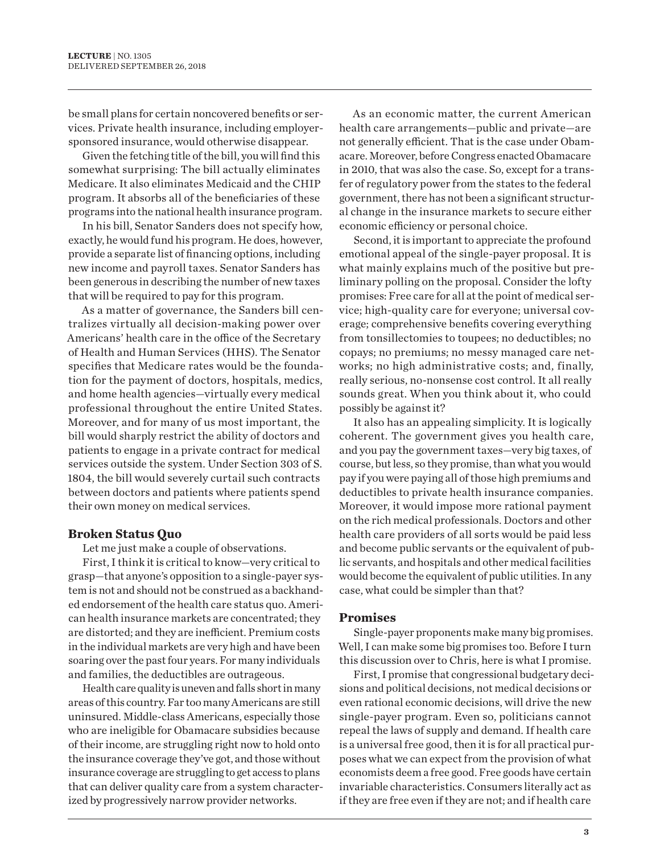be small plans for certain noncovered benefits or services. Private health insurance, including employersponsored insurance, would otherwise disappear.

Given the fetching title of the bill, you will find this somewhat surprising: The bill actually eliminates Medicare. It also eliminates Medicaid and the CHIP program. It absorbs all of the beneficiaries of these programs into the national health insurance program.

In his bill, Senator Sanders does not specify how, exactly, he would fund his program. He does, however, provide a separate list of financing options, including new income and payroll taxes. Senator Sanders has been generous in describing the number of new taxes that will be required to pay for this program.

As a matter of governance, the Sanders bill centralizes virtually all decision-making power over Americans' health care in the office of the Secretary of Health and Human Services (HHS). The Senator specifies that Medicare rates would be the foundation for the payment of doctors, hospitals, medics, and home health agencies—virtually every medical professional throughout the entire United States. Moreover, and for many of us most important, the bill would sharply restrict the ability of doctors and patients to engage in a private contract for medical services outside the system. Under Section 303 of S. 1804, the bill would severely curtail such contracts between doctors and patients where patients spend their own money on medical services.

#### **Broken Status Quo**

Let me just make a couple of observations.

First, I think it is critical to know—very critical to grasp—that anyone's opposition to a single-payer system is not and should not be construed as a backhanded endorsement of the health care status quo. American health insurance markets are concentrated; they are distorted; and they are inefficient. Premium costs in the individual markets are very high and have been soaring over the past four years. For many individuals and families, the deductibles are outrageous.

Health care quality is uneven and falls short in many areas of this country. Far too many Americans are still uninsured. Middle-class Americans, especially those who are ineligible for Obamacare subsidies because of their income, are struggling right now to hold onto the insurance coverage they've got, and those without insurance coverage are struggling to get access to plans that can deliver quality care from a system characterized by progressively narrow provider networks.

As an economic matter, the current American health care arrangements—public and private—are not generally efficient. That is the case under Obamacare. Moreover, before Congress enacted Obamacare in 2010, that was also the case. So, except for a transfer of regulatory power from the states to the federal government, there has not been a significant structural change in the insurance markets to secure either economic efficiency or personal choice.

Second, it is important to appreciate the profound emotional appeal of the single-payer proposal. It is what mainly explains much of the positive but preliminary polling on the proposal. Consider the lofty promises: Free care for all at the point of medical service; high-quality care for everyone; universal coverage; comprehensive benefits covering everything from tonsillectomies to toupees; no deductibles; no copays; no premiums; no messy managed care networks; no high administrative costs; and, finally, really serious, no-nonsense cost control. It all really sounds great. When you think about it, who could possibly be against it?

It also has an appealing simplicity. It is logically coherent. The government gives you health care, and you pay the government taxes—very big taxes, of course, but less, so they promise, than what you would pay if you were paying all of those high premiums and deductibles to private health insurance companies. Moreover, it would impose more rational payment on the rich medical professionals. Doctors and other health care providers of all sorts would be paid less and become public servants or the equivalent of public servants, and hospitals and other medical facilities would become the equivalent of public utilities. In any case, what could be simpler than that?

#### **Promises**

Single-payer proponents make many big promises. Well, I can make some big promises too. Before I turn this discussion over to Chris, here is what I promise.

First, I promise that congressional budgetary decisions and political decisions, not medical decisions or even rational economic decisions, will drive the new single-payer program. Even so, politicians cannot repeal the laws of supply and demand. If health care is a universal free good, then it is for all practical purposes what we can expect from the provision of what economists deem a free good. Free goods have certain invariable characteristics. Consumers literally act as if they are free even if they are not; and if health care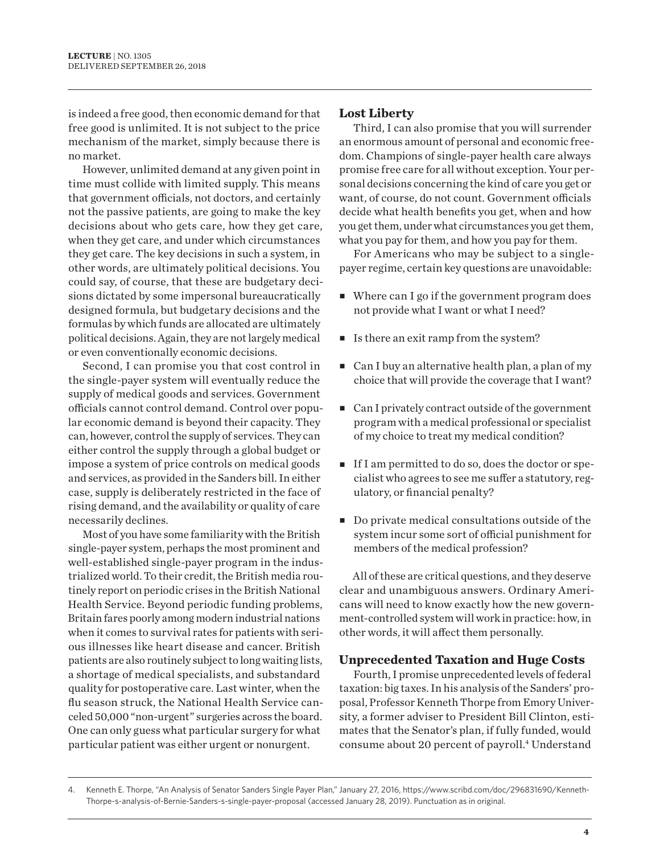is indeed a free good, then economic demand for that free good is unlimited. It is not subject to the price mechanism of the market, simply because there is no market.

However, unlimited demand at any given point in time must collide with limited supply. This means that government officials, not doctors, and certainly not the passive patients, are going to make the key decisions about who gets care, how they get care, when they get care, and under which circumstances they get care. The key decisions in such a system, in other words, are ultimately political decisions. You could say, of course, that these are budgetary decisions dictated by some impersonal bureaucratically designed formula, but budgetary decisions and the formulas by which funds are allocated are ultimately political decisions. Again, they are not largely medical or even conventionally economic decisions.

Second, I can promise you that cost control in the single-payer system will eventually reduce the supply of medical goods and services. Government officials cannot control demand. Control over popular economic demand is beyond their capacity. They can, however, control the supply of services. They can either control the supply through a global budget or impose a system of price controls on medical goods and services, as provided in the Sanders bill. In either case, supply is deliberately restricted in the face of rising demand, and the availability or quality of care necessarily declines.

Most of you have some familiarity with the British single-payer system, perhaps the most prominent and well-established single-payer program in the industrialized world. To their credit, the British media routinely report on periodic crises in the British National Health Service. Beyond periodic funding problems, Britain fares poorly among modern industrial nations when it comes to survival rates for patients with serious illnesses like heart disease and cancer. British patients are also routinely subject to long waiting lists, a shortage of medical specialists, and substandard quality for postoperative care. Last winter, when the flu season struck, the National Health Service canceled 50,000 "non-urgent" surgeries across the board. One can only guess what particular surgery for what particular patient was either urgent or nonurgent.

## **Lost Liberty**

Third, I can also promise that you will surrender an enormous amount of personal and economic freedom. Champions of single-payer health care always promise free care for all without exception. Your personal decisions concerning the kind of care you get or want, of course, do not count. Government officials decide what health benefits you get, when and how you get them, under what circumstances you get them, what you pay for them, and how you pay for them.

For Americans who may be subject to a singlepayer regime, certain key questions are unavoidable:

- $\blacksquare$  Where can I go if the government program does not provide what I want or what I need?
- Is there an exit ramp from the system?
- $\blacksquare$  Can I buy an alternative health plan, a plan of my choice that will provide the coverage that I want?
- $\blacksquare$  Can I privately contract outside of the government program with a medical professional or specialist of my choice to treat my medical condition?
- <sup>n</sup> If I am permitted to do so, does the doctor or specialist who agrees to see me suffer a statutory, regulatory, or financial penalty?
- Do private medical consultations outside of the system incur some sort of official punishment for members of the medical profession?

All of these are critical questions, and they deserve clear and unambiguous answers. Ordinary Americans will need to know exactly how the new government-controlled system will work in practice: how, in other words, it will affect them personally.

## **Unprecedented Taxation and Huge Costs**

Fourth, I promise unprecedented levels of federal taxation: big taxes. In his analysis of the Sanders' proposal, Professor Kenneth Thorpe from Emory University, a former adviser to President Bill Clinton, estimates that the Senator's plan, if fully funded, would consume about 20 percent of payroll.<sup>4</sup> Understand

<sup>4.</sup> Kenneth E. Thorpe, "An Analysis of Senator Sanders Single Payer Plan," January 27, 2016, https://www.scribd.com/doc/296831690/Kenneth-Thorpe-s-analysis-of-Bernie-Sanders-s-single-payer-proposal (accessed January 28, 2019). Punctuation as in original.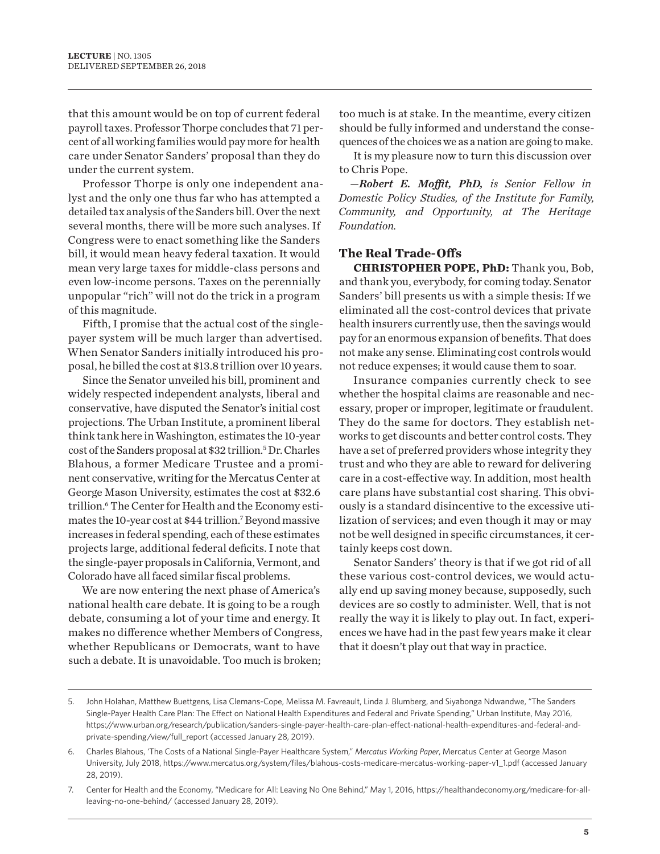that this amount would be on top of current federal payroll taxes. Professor Thorpe concludes that 71 percent of all working families would pay more for health care under Senator Sanders' proposal than they do under the current system.

Professor Thorpe is only one independent analyst and the only one thus far who has attempted a detailed tax analysis of the Sanders bill. Over the next several months, there will be more such analyses. If Congress were to enact something like the Sanders bill, it would mean heavy federal taxation. It would mean very large taxes for middle-class persons and even low-income persons. Taxes on the perennially unpopular "rich" will not do the trick in a program of this magnitude.

Fifth, I promise that the actual cost of the singlepayer system will be much larger than advertised. When Senator Sanders initially introduced his proposal, he billed the cost at \$13.8 trillion over 10 years.

Since the Senator unveiled his bill, prominent and widely respected independent analysts, liberal and conservative, have disputed the Senator's initial cost projections. The Urban Institute, a prominent liberal think tank here in Washington, estimates the 10-year cost of the Sanders proposal at \$32 trillion.<sup>5</sup> Dr. Charles Blahous, a former Medicare Trustee and a prominent conservative, writing for the Mercatus Center at George Mason University, estimates the cost at \$32.6 trillion.<sup>6</sup> The Center for Health and the Economy estimates the 10-year cost at \$44 trillion.<sup>7</sup> Beyond massive increases in federal spending, each of these estimates projects large, additional federal deficits. I note that the single-payer proposals in California, Vermont, and Colorado have all faced similar fiscal problems.

We are now entering the next phase of America's national health care debate. It is going to be a rough debate, consuming a lot of your time and energy. It makes no difference whether Members of Congress, whether Republicans or Democrats, want to have such a debate. It is unavoidable. Too much is broken;

too much is at stake. In the meantime, every citizen should be fully informed and understand the consequences of the choices we as a nation are going to make.

It is my pleasure now to turn this discussion over to Chris Pope.

*—Robert E. Moffit, PhD, is Senior Fellow in Domestic Policy Studies, of the Institute for Family, Community, and Opportunity, at The Heritage Foundation.*

## **The Real Trade-Offs**

**CHRISTOPHER POPE, PhD:** Thank you, Bob, and thank you, everybody, for coming today. Senator Sanders' bill presents us with a simple thesis: If we eliminated all the cost-control devices that private health insurers currently use, then the savings would pay for an enormous expansion of benefits. That does not make any sense. Eliminating cost controls would not reduce expenses; it would cause them to soar.

Insurance companies currently check to see whether the hospital claims are reasonable and necessary, proper or improper, legitimate or fraudulent. They do the same for doctors. They establish networks to get discounts and better control costs. They have a set of preferred providers whose integrity they trust and who they are able to reward for delivering care in a cost-effective way. In addition, most health care plans have substantial cost sharing. This obviously is a standard disincentive to the excessive utilization of services; and even though it may or may not be well designed in specific circumstances, it certainly keeps cost down.

Senator Sanders' theory is that if we got rid of all these various cost-control devices, we would actually end up saving money because, supposedly, such devices are so costly to administer. Well, that is not really the way it is likely to play out. In fact, experiences we have had in the past few years make it clear that it doesn't play out that way in practice.

<sup>5.</sup> John Holahan, Matthew Buettgens, Lisa Clemans-Cope, Melissa M. Favreault, Linda J. Blumberg, and Siyabonga Ndwandwe, "The Sanders Single-Payer Health Care Plan: The Effect on National Health Expenditures and Federal and Private Spending," Urban Institute, May 2016, https://www.urban.org/research/publication/sanders-single-payer-health-care-plan-effect-national-health-expenditures-and-federal-andprivate-spending/view/full\_report (accessed January 28, 2019).

<sup>6.</sup> Charles Blahous, 'The Costs of a National Single-Payer Healthcare System," *Mercatus Working Paper*, Mercatus Center at George Mason University, July 2018, https://www.mercatus.org/system/files/blahous-costs-medicare-mercatus-working-paper-v1\_1.pdf (accessed January 28, 2019).

<sup>7.</sup> Center for Health and the Economy, "Medicare for All: Leaving No One Behind," May 1, 2016, https://healthandeconomy.org/medicare-for-allleaving-no-one-behind/ (accessed January 28, 2019).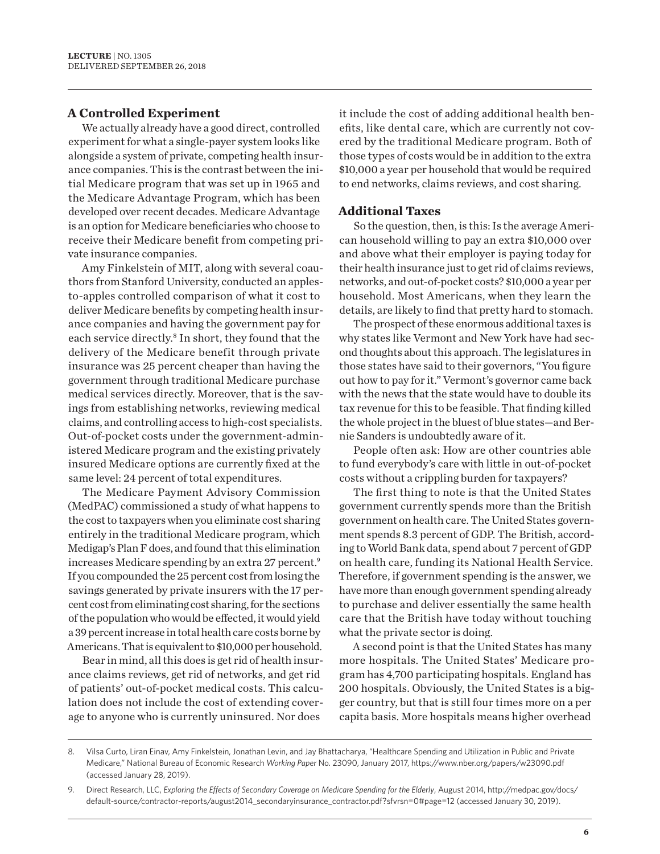## **A Controlled Experiment**

We actually already have a good direct, controlled experiment for what a single-payer system looks like alongside a system of private, competing health insurance companies. This is the contrast between the initial Medicare program that was set up in 1965 and the Medicare Advantage Program, which has been developed over recent decades. Medicare Advantage is an option for Medicare beneficiaries who choose to receive their Medicare benefit from competing private insurance companies.

Amy Finkelstein of MIT, along with several coauthors from Stanford University, conducted an applesto-apples controlled comparison of what it cost to deliver Medicare benefits by competing health insurance companies and having the government pay for each service directly.<sup>8</sup> In short, they found that the delivery of the Medicare benefit through private insurance was 25 percent cheaper than having the government through traditional Medicare purchase medical services directly. Moreover, that is the savings from establishing networks, reviewing medical claims, and controlling access to high-cost specialists. Out-of-pocket costs under the government-administered Medicare program and the existing privately insured Medicare options are currently fixed at the same level: 24 percent of total expenditures.

The Medicare Payment Advisory Commission (MedPAC) commissioned a study of what happens to the cost to taxpayers when you eliminate cost sharing entirely in the traditional Medicare program, which Medigap's Plan F does, and found that this elimination increases Medicare spending by an extra 27 percent.<sup>9</sup> If you compounded the 25 percent cost from losing the savings generated by private insurers with the 17 percent cost from eliminating cost sharing, for the sections of the population who would be effected, it would yield a 39 percent increase in total health care costs borne by Americans. That is equivalent to \$10,000 per household.

Bear in mind, all this does is get rid of health insurance claims reviews, get rid of networks, and get rid of patients' out-of-pocket medical costs. This calculation does not include the cost of extending coverage to anyone who is currently uninsured. Nor does

it include the cost of adding additional health benefits, like dental care, which are currently not covered by the traditional Medicare program. Both of those types of costs would be in addition to the extra \$10,000 a year per household that would be required to end networks, claims reviews, and cost sharing.

#### **Additional Taxes**

So the question, then, is this: Is the average American household willing to pay an extra \$10,000 over and above what their employer is paying today for their health insurance just to get rid of claims reviews, networks, and out-of-pocket costs? \$10,000 a year per household. Most Americans, when they learn the details, are likely to find that pretty hard to stomach.

The prospect of these enormous additional taxes is why states like Vermont and New York have had second thoughts about this approach. The legislatures in those states have said to their governors, "You figure out how to pay for it." Vermont's governor came back with the news that the state would have to double its tax revenue for this to be feasible. That finding killed the whole project in the bluest of blue states—and Bernie Sanders is undoubtedly aware of it.

People often ask: How are other countries able to fund everybody's care with little in out-of-pocket costs without a crippling burden for taxpayers?

The first thing to note is that the United States government currently spends more than the British government on health care. The United States government spends 8.3 percent of GDP. The British, according to World Bank data, spend about 7 percent of GDP on health care, funding its National Health Service. Therefore, if government spending is the answer, we have more than enough government spending already to purchase and deliver essentially the same health care that the British have today without touching what the private sector is doing.

A second point is that the United States has many more hospitals. The United States' Medicare program has 4,700 participating hospitals. England has 200 hospitals. Obviously, the United States is a bigger country, but that is still four times more on a per capita basis. More hospitals means higher overhead

<sup>8.</sup> Vilsa Curto, Liran Einav, Amy Finkelstein, Jonathan Levin, and Jay Bhattacharya, "Healthcare Spending and Utilization in Public and Private Medicare," National Bureau of Economic Research *Working Paper* No. 23090, January 2017, https://www.nber.org/papers/w23090.pdf (accessed January 28, 2019).

<sup>9.</sup> Direct Research, LLC, *Exploring the Effects of Secondary Coverage on Medicare Spending for the Elderly*, August 2014, http://medpac.gov/docs/ default-source/contractor-reports/august2014\_secondaryinsurance\_contractor.pdf?sfvrsn=0#page=12 (accessed January 30, 2019).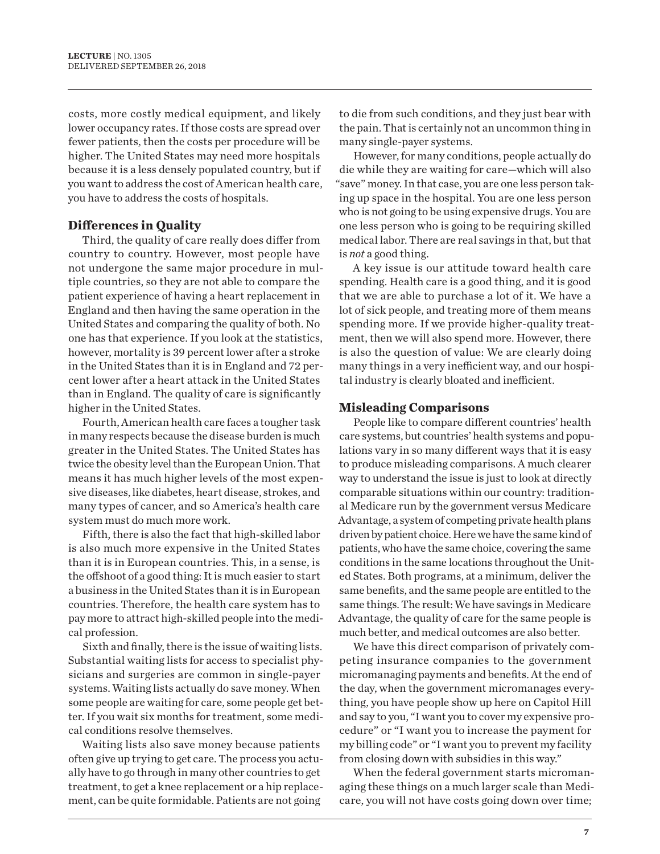costs, more costly medical equipment, and likely lower occupancy rates. If those costs are spread over fewer patients, then the costs per procedure will be higher. The United States may need more hospitals because it is a less densely populated country, but if you want to address the cost of American health care, you have to address the costs of hospitals.

## **Differences in Quality**

Third, the quality of care really does differ from country to country. However, most people have not undergone the same major procedure in multiple countries, so they are not able to compare the patient experience of having a heart replacement in England and then having the same operation in the United States and comparing the quality of both. No one has that experience. If you look at the statistics, however, mortality is 39 percent lower after a stroke in the United States than it is in England and 72 percent lower after a heart attack in the United States than in England. The quality of care is significantly higher in the United States.

Fourth, American health care faces a tougher task in many respects because the disease burden is much greater in the United States. The United States has twice the obesity level than the European Union. That means it has much higher levels of the most expensive diseases, like diabetes, heart disease, strokes, and many types of cancer, and so America's health care system must do much more work.

Fifth, there is also the fact that high-skilled labor is also much more expensive in the United States than it is in European countries. This, in a sense, is the offshoot of a good thing: It is much easier to start a business in the United States than it is in European countries. Therefore, the health care system has to pay more to attract high-skilled people into the medical profession.

Sixth and finally, there is the issue of waiting lists. Substantial waiting lists for access to specialist physicians and surgeries are common in single-payer systems. Waiting lists actually do save money. When some people are waiting for care, some people get better. If you wait six months for treatment, some medical conditions resolve themselves.

Waiting lists also save money because patients often give up trying to get care. The process you actually have to go through in many other countries to get treatment, to get a knee replacement or a hip replacement, can be quite formidable. Patients are not going

to die from such conditions, and they just bear with the pain. That is certainly not an uncommon thing in many single-payer systems.

However, for many conditions, people actually do die while they are waiting for care—which will also "save" money. In that case, you are one less person taking up space in the hospital. You are one less person who is not going to be using expensive drugs. You are one less person who is going to be requiring skilled medical labor. There are real savings in that, but that is *not* a good thing.

A key issue is our attitude toward health care spending. Health care is a good thing, and it is good that we are able to purchase a lot of it. We have a lot of sick people, and treating more of them means spending more. If we provide higher-quality treatment, then we will also spend more. However, there is also the question of value: We are clearly doing many things in a very inefficient way, and our hospital industry is clearly bloated and inefficient.

## **Misleading Comparisons**

People like to compare different countries' health care systems, but countries' health systems and populations vary in so many different ways that it is easy to produce misleading comparisons. A much clearer way to understand the issue is just to look at directly comparable situations within our country: traditional Medicare run by the government versus Medicare Advantage, a system of competing private health plans driven by patient choice. Here we have the same kind of patients, who have the same choice, covering the same conditions in the same locations throughout the United States. Both programs, at a minimum, deliver the same benefits, and the same people are entitled to the same things. The result: We have savings in Medicare Advantage, the quality of care for the same people is much better, and medical outcomes are also better.

We have this direct comparison of privately competing insurance companies to the government micromanaging payments and benefits. At the end of the day, when the government micromanages everything, you have people show up here on Capitol Hill and say to you, "I want you to cover my expensive procedure" or "I want you to increase the payment for my billing code" or "I want you to prevent my facility from closing down with subsidies in this way."

When the federal government starts micromanaging these things on a much larger scale than Medicare, you will not have costs going down over time;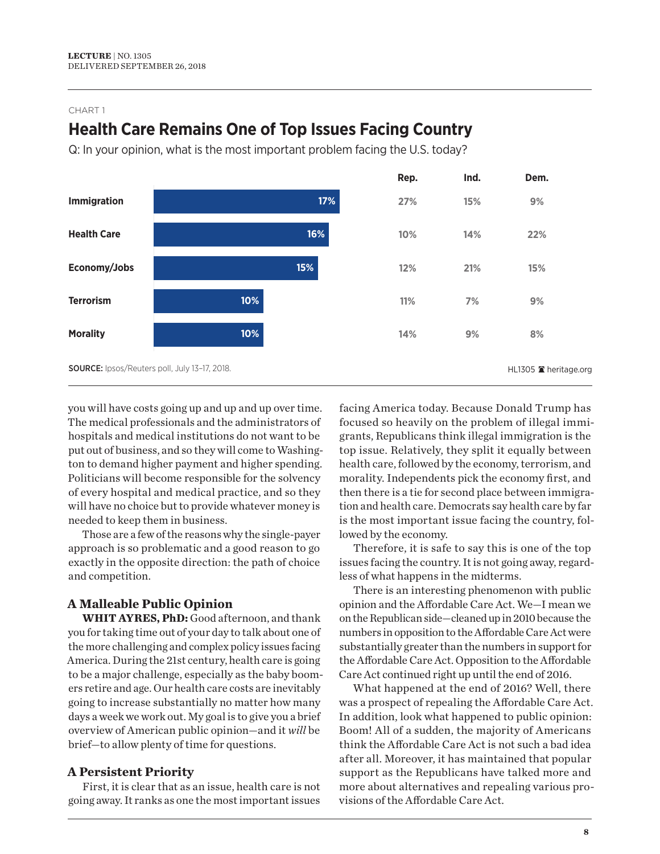# **Health Care Remains One of Top Issues Facing Country**

Q: In your opinion, what is the most important problem facing the U.S. today?



you will have costs going up and up and up over time. The medical professionals and the administrators of hospitals and medical institutions do not want to be put out of business, and so they will come to Washington to demand higher payment and higher spending. Politicians will become responsible for the solvency of every hospital and medical practice, and so they will have no choice but to provide whatever money is needed to keep them in business.

Those are a few of the reasons why the single-payer approach is so problematic and a good reason to go exactly in the opposite direction: the path of choice and competition.

## **A Malleable Public Opinion**

**WHIT AYRES, PhD:** Good afternoon, and thank you for taking time out of your day to talk about one of the more challenging and complex policy issues facing America. During the 21st century, health care is going to be a major challenge, especially as the baby boomers retire and age. Our health care costs are inevitably going to increase substantially no matter how many days a week we work out. My goal is to give you a brief overview of American public opinion—and it *will* be brief—to allow plenty of time for questions.

## **A Persistent Priority**

First, it is clear that as an issue, health care is not going away. It ranks as one the most important issues facing America today. Because Donald Trump has focused so heavily on the problem of illegal immigrants, Republicans think illegal immigration is the top issue. Relatively, they split it equally between health care, followed by the economy, terrorism, and morality. Independents pick the economy first, and then there is a tie for second place between immigration and health care. Democrats say health care by far is the most important issue facing the country, followed by the economy.

Therefore, it is safe to say this is one of the top issues facing the country. It is not going away, regardless of what happens in the midterms.

There is an interesting phenomenon with public opinion and the Affordable Care Act. We—I mean we on the Republican side—cleaned up in 2010 because the numbers in opposition to the Affordable Care Act were substantially greater than the numbers in support for the Affordable Care Act. Opposition to the Affordable Care Act continued right up until the end of 2016.

What happened at the end of 2016? Well, there was a prospect of repealing the Affordable Care Act. In addition, look what happened to public opinion: Boom! All of a sudden, the majority of Americans think the Affordable Care Act is not such a bad idea after all. Moreover, it has maintained that popular support as the Republicans have talked more and more about alternatives and repealing various provisions of the Affordable Care Act.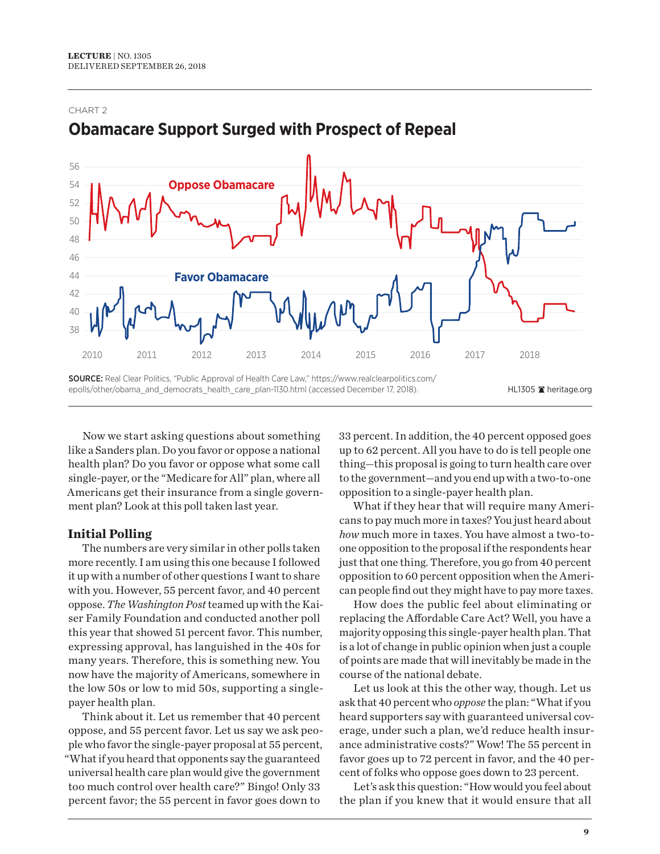

# **Obamacare Support Surged with Prospect of Repeal**

Now we start asking questions about something like a Sanders plan. Do you favor or oppose a national health plan? Do you favor or oppose what some call single-payer, or the "Medicare for All" plan, where all Americans get their insurance from a single government plan? Look at this poll taken last year.

## **Initial Polling**

The numbers are very similar in other polls taken more recently. I am using this one because I followed it up with a number of other questions I want to share with you. However, 55 percent favor, and 40 percent oppose. *The Washington Post* teamed up with the Kaiser Family Foundation and conducted another poll this year that showed 51 percent favor. This number, expressing approval, has languished in the 40s for many years. Therefore, this is something new. You now have the majority of Americans, somewhere in the low 50s or low to mid 50s, supporting a singlepayer health plan.

Think about it. Let us remember that 40 percent oppose, and 55 percent favor. Let us say we ask people who favor the single-payer proposal at 55 percent, "What if you heard that opponents say the guaranteed universal health care plan would give the government too much control over health care?" Bingo! Only 33 percent favor; the 55 percent in favor goes down to

33 percent. In addition, the 40 percent opposed goes up to 62 percent. All you have to do is tell people one thing—this proposal is going to turn health care over to the government—and you end up with a two-to-one opposition to a single-payer health plan.

What if they hear that will require many Americans to pay much more in taxes? You just heard about *how* much more in taxes. You have almost a two-toone opposition to the proposal if the respondents hear just that one thing. Therefore, you go from 40 percent opposition to 60 percent opposition when the American people find out they might have to pay more taxes.

How does the public feel about eliminating or replacing the Affordable Care Act? Well, you have a majority opposing this single-payer health plan. That is a lot of change in public opinion when just a couple of points are made that will inevitably be made in the course of the national debate.

Let us look at this the other way, though. Let us ask that 40 percent who *oppose* the plan: "What if you heard supporters say with guaranteed universal coverage, under such a plan, we'd reduce health insurance administrative costs?" Wow! The 55 percent in favor goes up to 72 percent in favor, and the 40 percent of folks who oppose goes down to 23 percent.

Let's ask this question: "How would you feel about the plan if you knew that it would ensure that all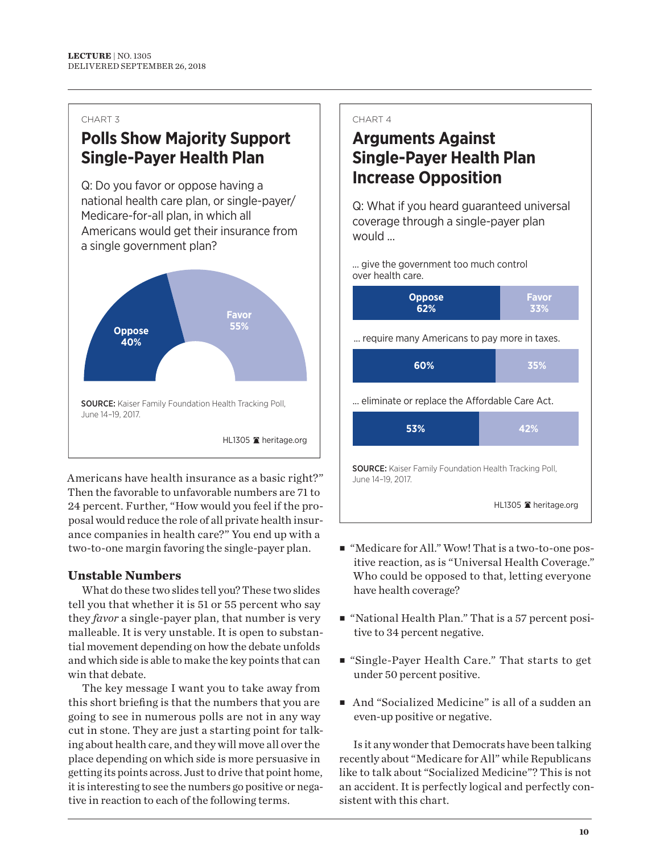# **Polls Show Majority Support Single-Payer Health Plan**

Q: Do you favor or oppose having a national health care plan, or single-payer/ Medicare-for-all plan, in which all Americans would get their insurance from a single government plan?



Americans have health insurance as a basic right?" Then the favorable to unfavorable numbers are 71 to 24 percent. Further, "How would you feel if the proposal would reduce the role of all private health insurance companies in health care?" You end up with a two-to-one margin favoring the single-payer plan.

## **Unstable Numbers**

What do these two slides tell you? These two slides tell you that whether it is 51 or 55 percent who say they *favor* a single-payer plan, that number is very malleable. It is very unstable. It is open to substantial movement depending on how the debate unfolds and which side is able to make the key points that can win that debate.

The key message I want you to take away from this short briefing is that the numbers that you are going to see in numerous polls are not in any way cut in stone. They are just a starting point for talking about health care, and they will move all over the place depending on which side is more persuasive in getting its points across. Just to drive that point home, it is interesting to see the numbers go positive or negative in reaction to each of the following terms.

#### CHART 4

# **Arguments Against Single-Payer Health Plan Increase Opposition**

Q: What if you heard guaranteed universal coverage through a single-payer plan would ...

... give the government too much control over health care.



- "Medicare for All." Wow! That is a two-to-one positive reaction, as is "Universal Health Coverage." Who could be opposed to that, letting everyone have health coverage?
- "National Health Plan." That is a 57 percent positive to 34 percent negative.
- "Single-Payer Health Care." That starts to get under 50 percent positive.
- And "Socialized Medicine" is all of a sudden an even-up positive or negative.

Is it any wonder that Democrats have been talking recently about "Medicare for All" while Republicans like to talk about "Socialized Medicine"? This is not an accident. It is perfectly logical and perfectly consistent with this chart.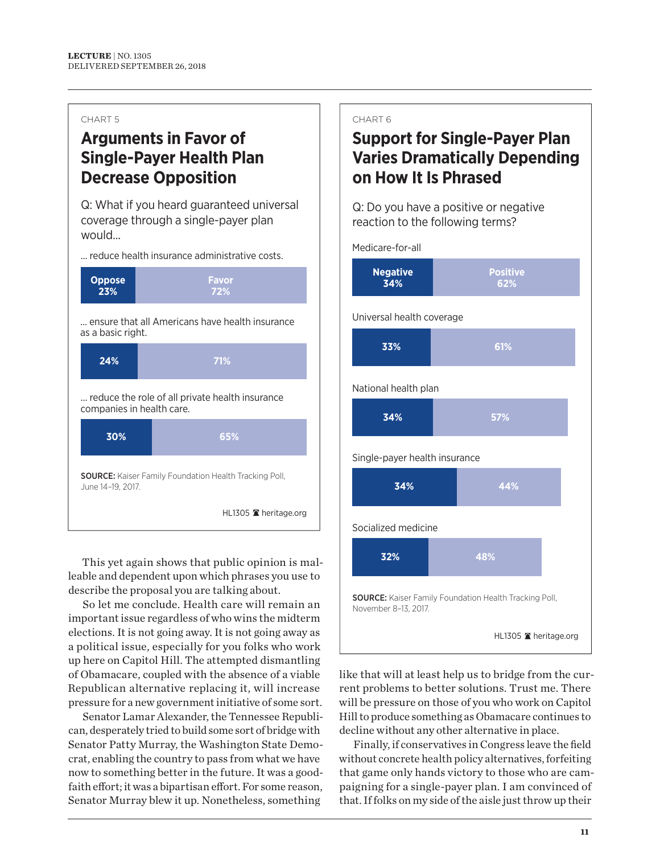# **Arguments in Favor of Single-Payer Health Plan Decrease Opposition**

Q: What if you heard guaranteed universal coverage through a single-payer plan would...

... reduce health insurance administrative costs.



This yet again shows that public opinion is malleable and dependent upon which phrases you use to describe the proposal you are talking about.

So let me conclude. Health care will remain an important issue regardless of who wins the midterm elections. It is not going away. It is not going away as a political issue, especially for you folks who work up here on Capitol Hill. The attempted dismantling of Obamacare, coupled with the absence of a viable Republican alternative replacing it, will increase pressure for a new government initiative of some sort.

Senator Lamar Alexander, the Tennessee Republican, desperately tried to build some sort of bridge with Senator Patty Murray, the Washington State Democrat, enabling the country to pass from what we have now to something better in the future. It was a goodfaith effort; it was a bipartisan effort. For some reason, Senator Murray blew it up. Nonetheless, something

#### CHART 6

# **Support for Single-Payer Plan Varies Dramatically Depending on How It Is Phrased**

Q: Do you have a positive or negative reaction to the following terms?

Medicare-for-all

| <b>Negative</b> | <b>Positive</b> |
|-----------------|-----------------|
| 34%             | 62%             |
|                 |                 |

Universal health coverage

| 33%                  | 61% |
|----------------------|-----|
| National health plan |     |
| 34%                  | 57% |

Single-payer health insurance



Socialized medicine

| 32%                                                                                   | 48%                   |  |  |  |
|---------------------------------------------------------------------------------------|-----------------------|--|--|--|
| <b>SOURCE:</b> Kaiser Family Foundation Health Tracking Poll,<br>November 8-13, 2017. |                       |  |  |  |
|                                                                                       | HL1305 ■ heritage.org |  |  |  |

like that will at least help us to bridge from the current problems to better solutions. Trust me. There will be pressure on those of you who work on Capitol Hill to produce something as Obamacare continues to decline without any other alternative in place.

Finally, if conservatives in Congress leave the field without concrete health policy alternatives, forfeiting that game only hands victory to those who are campaigning for a single-payer plan. I am convinced of that. If folks on my side of the aisle just throw up their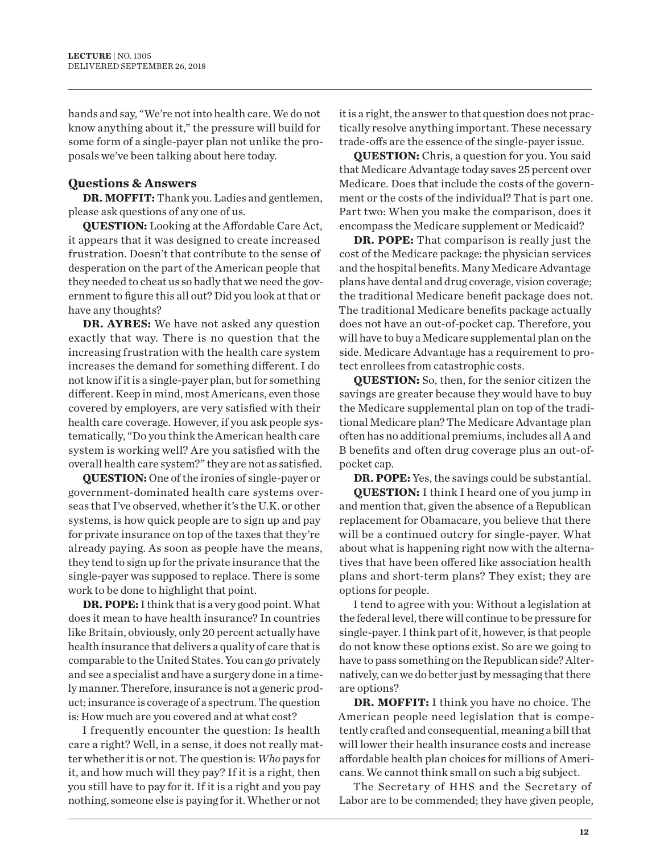hands and say, "We're not into health care. We do not know anything about it," the pressure will build for some form of a single-payer plan not unlike the proposals we've been talking about here today.

## **Questions & Answers**

**DR. MOFFIT:** Thank you. Ladies and gentlemen, please ask questions of any one of us.

**QUESTION:** Looking at the Affordable Care Act, it appears that it was designed to create increased frustration. Doesn't that contribute to the sense of desperation on the part of the American people that they needed to cheat us so badly that we need the government to figure this all out? Did you look at that or have any thoughts?

**DR. AYRES:** We have not asked any question exactly that way. There is no question that the increasing frustration with the health care system increases the demand for something different. I do not know if it is a single-payer plan, but for something different. Keep in mind, most Americans, even those covered by employers, are very satisfied with their health care coverage. However, if you ask people systematically, "Do you think the American health care system is working well? Are you satisfied with the overall health care system?" they are not as satisfied.

**QUESTION:** One of the ironies of single-payer or government-dominated health care systems overseas that I've observed, whether it's the U.K. or other systems, is how quick people are to sign up and pay for private insurance on top of the taxes that they're already paying. As soon as people have the means, they tend to sign up for the private insurance that the single-payer was supposed to replace. There is some work to be done to highlight that point.

**DR. POPE:** I think that is a very good point. What does it mean to have health insurance? In countries like Britain, obviously, only 20 percent actually have health insurance that delivers a quality of care that is comparable to the United States. You can go privately and see a specialist and have a surgery done in a timely manner. Therefore, insurance is not a generic product; insurance is coverage of a spectrum. The question is: How much are you covered and at what cost?

I frequently encounter the question: Is health care a right? Well, in a sense, it does not really matter whether it is or not. The question is: *Who* pays for it, and how much will they pay? If it is a right, then you still have to pay for it. If it is a right and you pay nothing, someone else is paying for it. Whether or not

it is a right, the answer to that question does not practically resolve anything important. These necessary trade-offs are the essence of the single-payer issue.

**QUESTION:** Chris, a question for you. You said that Medicare Advantage today saves 25 percent over Medicare. Does that include the costs of the government or the costs of the individual? That is part one. Part two: When you make the comparison, does it encompass the Medicare supplement or Medicaid?

**DR. POPE:** That comparison is really just the cost of the Medicare package: the physician services and the hospital benefits. Many Medicare Advantage plans have dental and drug coverage, vision coverage; the traditional Medicare benefit package does not. The traditional Medicare benefits package actually does not have an out-of-pocket cap. Therefore, you will have to buy a Medicare supplemental plan on the side. Medicare Advantage has a requirement to protect enrollees from catastrophic costs.

**QUESTION:** So, then, for the senior citizen the savings are greater because they would have to buy the Medicare supplemental plan on top of the traditional Medicare plan? The Medicare Advantage plan often has no additional premiums, includes all A and B benefits and often drug coverage plus an out-ofpocket cap.

**DR. POPE:** Yes, the savings could be substantial.

**QUESTION:** I think I heard one of you jump in and mention that, given the absence of a Republican replacement for Obamacare, you believe that there will be a continued outcry for single-payer. What about what is happening right now with the alternatives that have been offered like association health plans and short-term plans? They exist; they are options for people.

I tend to agree with you: Without a legislation at the federal level, there will continue to be pressure for single-payer. I think part of it, however, is that people do not know these options exist. So are we going to have to pass something on the Republican side? Alternatively, can we do better just by messaging that there are options?

**DR. MOFFIT:** I think you have no choice. The American people need legislation that is competently crafted and consequential, meaning a bill that will lower their health insurance costs and increase affordable health plan choices for millions of Americans. We cannot think small on such a big subject.

The Secretary of HHS and the Secretary of Labor are to be commended; they have given people,